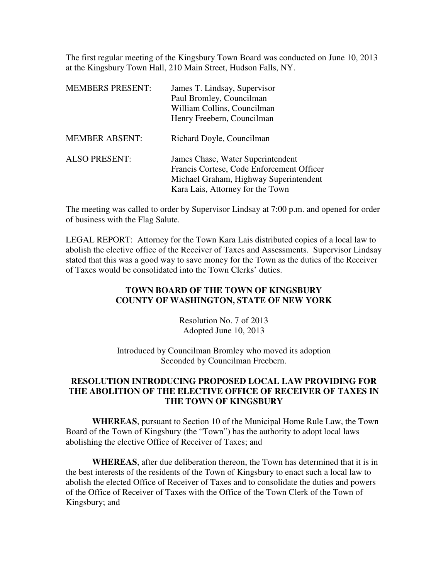The first regular meeting of the Kingsbury Town Board was conducted on June 10, 2013 at the Kingsbury Town Hall, 210 Main Street, Hudson Falls, NY.

| <b>MEMBERS PRESENT:</b> | James T. Lindsay, Supervisor<br>Paul Bromley, Councilman<br>William Collins, Councilman<br>Henry Freebern, Councilman                                        |
|-------------------------|--------------------------------------------------------------------------------------------------------------------------------------------------------------|
| <b>MEMBER ABSENT:</b>   | Richard Doyle, Councilman                                                                                                                                    |
| <b>ALSO PRESENT:</b>    | James Chase, Water Superintendent<br>Francis Cortese, Code Enforcement Officer<br>Michael Graham, Highway Superintendent<br>Kara Lais, Attorney for the Town |

The meeting was called to order by Supervisor Lindsay at 7:00 p.m. and opened for order of business with the Flag Salute.

LEGAL REPORT: Attorney for the Town Kara Lais distributed copies of a local law to abolish the elective office of the Receiver of Taxes and Assessments. Supervisor Lindsay stated that this was a good way to save money for the Town as the duties of the Receiver of Taxes would be consolidated into the Town Clerks' duties.

## **TOWN BOARD OF THE TOWN OF KINGSBURY COUNTY OF WASHINGTON, STATE OF NEW YORK**

Resolution No. 7 of 2013 Adopted June 10, 2013

Introduced by Councilman Bromley who moved its adoption Seconded by Councilman Freebern.

## **RESOLUTION INTRODUCING PROPOSED LOCAL LAW PROVIDING FOR THE ABOLITION OF THE ELECTIVE OFFICE OF RECEIVER OF TAXES IN THE TOWN OF KINGSBURY**

**WHEREAS**, pursuant to Section 10 of the Municipal Home Rule Law, the Town Board of the Town of Kingsbury (the "Town") has the authority to adopt local laws abolishing the elective Office of Receiver of Taxes; and

**WHEREAS**, after due deliberation thereon, the Town has determined that it is in the best interests of the residents of the Town of Kingsbury to enact such a local law to abolish the elected Office of Receiver of Taxes and to consolidate the duties and powers of the Office of Receiver of Taxes with the Office of the Town Clerk of the Town of Kingsbury; and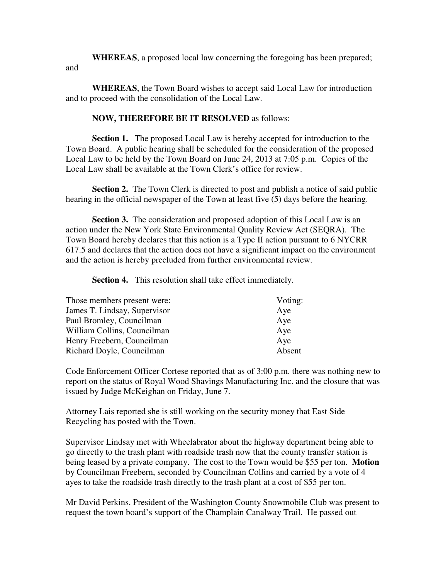**WHEREAS**, a proposed local law concerning the foregoing has been prepared; and

**WHEREAS**, the Town Board wishes to accept said Local Law for introduction and to proceed with the consolidation of the Local Law.

## **NOW, THEREFORE BE IT RESOLVED** as follows:

**Section 1.** The proposed Local Law is hereby accepted for introduction to the Town Board. A public hearing shall be scheduled for the consideration of the proposed Local Law to be held by the Town Board on June 24, 2013 at 7:05 p.m. Copies of the Local Law shall be available at the Town Clerk's office for review.

**Section 2.** The Town Clerk is directed to post and publish a notice of said public hearing in the official newspaper of the Town at least five (5) days before the hearing.

**Section 3.** The consideration and proposed adoption of this Local Law is an action under the New York State Environmental Quality Review Act (SEQRA). The Town Board hereby declares that this action is a Type II action pursuant to 6 NYCRR 617.5 and declares that the action does not have a significant impact on the environment and the action is hereby precluded from further environmental review.

**Section 4.** This resolution shall take effect immediately.

| Those members present were:  | Voting: |
|------------------------------|---------|
| James T. Lindsay, Supervisor | Aye     |
| Paul Bromley, Councilman     | Aye     |
| William Collins, Councilman  | Aye     |
| Henry Freebern, Councilman   | Aye     |
| Richard Doyle, Councilman    | Absent  |

Code Enforcement Officer Cortese reported that as of 3:00 p.m. there was nothing new to report on the status of Royal Wood Shavings Manufacturing Inc. and the closure that was issued by Judge McKeighan on Friday, June 7.

Attorney Lais reported she is still working on the security money that East Side Recycling has posted with the Town.

Supervisor Lindsay met with Wheelabrator about the highway department being able to go directly to the trash plant with roadside trash now that the county transfer station is being leased by a private company. The cost to the Town would be \$55 per ton. **Motion** by Councilman Freebern, seconded by Councilman Collins and carried by a vote of 4 ayes to take the roadside trash directly to the trash plant at a cost of \$55 per ton.

Mr David Perkins, President of the Washington County Snowmobile Club was present to request the town board's support of the Champlain Canalway Trail. He passed out